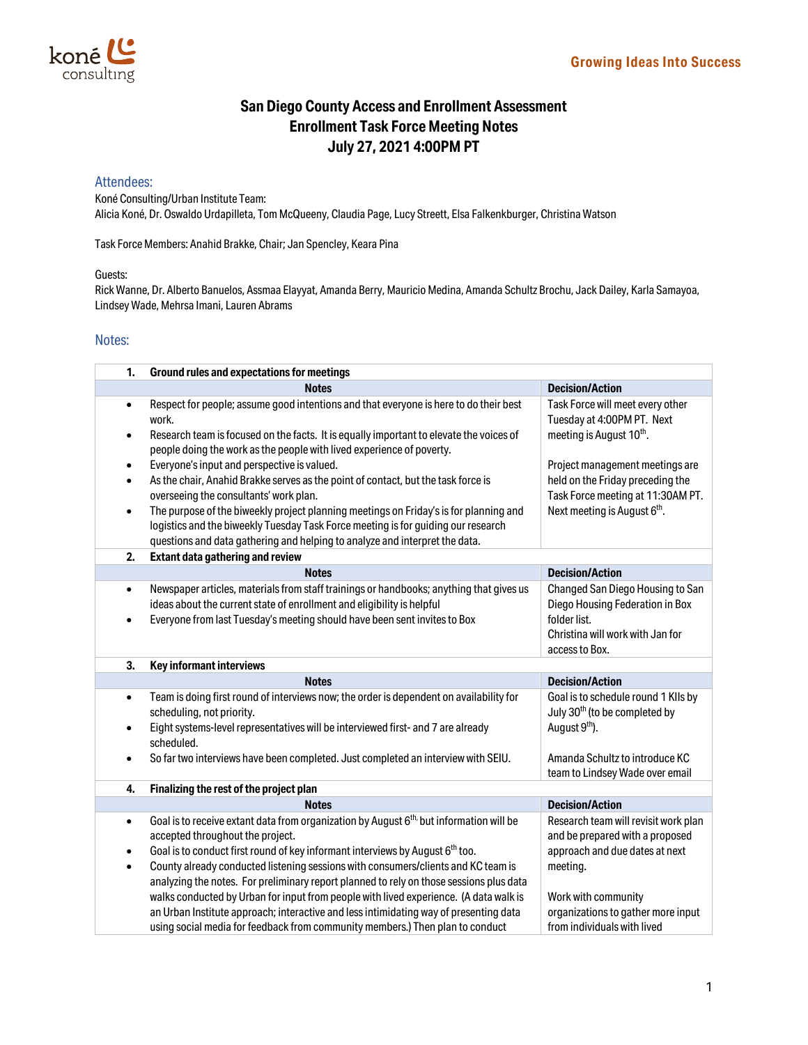

## **San Diego County Access and Enrollment Assessment Enrollment Task Force Meeting Notes July 27, 2021 4:00PM PT**

## Attendees:

Koné Consulting/Urban Institute Team: Alicia Koné, Dr. Oswaldo Urdapilleta, Tom McQueeny, Claudia Page, Lucy Streett, Elsa Falkenkburger, Christina Watson

Task Force Members: Anahid Brakke, Chair; Jan Spencley, Keara Pina

## Guests:

Rick Wanne, Dr. Alberto Banuelos, Assmaa Elayyat, Amanda Berry, Mauricio Medina, Amanda Schultz Brochu, Jack Dailey, Karla Samayoa, Lindsey Wade, Mehrsa Imani, Lauren Abrams

## Notes:

| 1.        | <b>Ground rules and expectations for meetings</b>                                                                                                                      |                                                                                  |  |  |
|-----------|------------------------------------------------------------------------------------------------------------------------------------------------------------------------|----------------------------------------------------------------------------------|--|--|
|           | <b>Notes</b>                                                                                                                                                           | <b>Decision/Action</b>                                                           |  |  |
| $\bullet$ | Respect for people; assume good intentions and that everyone is here to do their best<br>work.                                                                         | Task Force will meet every other<br>Tuesday at 4:00PM PT. Next                   |  |  |
| $\bullet$ | Research team is focused on the facts. It is equally important to elevate the voices of<br>people doing the work as the people with lived experience of poverty.       | meeting is August 10 <sup>th</sup> .                                             |  |  |
| $\bullet$ | Everyone's input and perspective is valued.                                                                                                                            | Project management meetings are                                                  |  |  |
| $\bullet$ | As the chair, Anahid Brakke serves as the point of contact, but the task force is                                                                                      | held on the Friday preceding the                                                 |  |  |
|           | overseeing the consultants' work plan.                                                                                                                                 | Task Force meeting at 11:30AM PT.                                                |  |  |
| $\bullet$ | The purpose of the biweekly project planning meetings on Friday's is for planning and                                                                                  | Next meeting is August 6 <sup>th</sup> .                                         |  |  |
|           | logistics and the biweekly Tuesday Task Force meeting is for guiding our research                                                                                      |                                                                                  |  |  |
|           | questions and data gathering and helping to analyze and interpret the data.                                                                                            |                                                                                  |  |  |
| 2.        | <b>Extant data gathering and review</b>                                                                                                                                |                                                                                  |  |  |
|           | <b>Notes</b>                                                                                                                                                           | <b>Decision/Action</b>                                                           |  |  |
| $\bullet$ | Newspaper articles, materials from staff trainings or handbooks; anything that gives us                                                                                | Changed San Diego Housing to San                                                 |  |  |
|           | ideas about the current state of enrollment and eligibility is helpful                                                                                                 | Diego Housing Federation in Box                                                  |  |  |
| $\bullet$ | Everyone from last Tuesday's meeting should have been sent invites to Box                                                                                              | folder list.                                                                     |  |  |
|           |                                                                                                                                                                        | Christina will work with Jan for                                                 |  |  |
|           |                                                                                                                                                                        | access to Box.                                                                   |  |  |
|           |                                                                                                                                                                        |                                                                                  |  |  |
| 3.        | Key informant interviews                                                                                                                                               |                                                                                  |  |  |
|           | <b>Notes</b>                                                                                                                                                           | <b>Decision/Action</b>                                                           |  |  |
| $\bullet$ | Team is doing first round of interviews now; the order is dependent on availability for<br>scheduling, not priority.                                                   | Goal is to schedule round 1 KIIs by<br>July 30 <sup>th</sup> (to be completed by |  |  |
| $\bullet$ | Eight systems-level representatives will be interviewed first- and 7 are already<br>scheduled.                                                                         | August 9 <sup>th</sup> ).                                                        |  |  |
| ٠         | So far two interviews have been completed. Just completed an interview with SEIU.                                                                                      | Amanda Schultz to introduce KC                                                   |  |  |
| 4.        | Finalizing the rest of the project plan                                                                                                                                | team to Lindsey Wade over email                                                  |  |  |
|           | <b>Notes</b>                                                                                                                                                           | <b>Decision/Action</b>                                                           |  |  |
| $\bullet$ | Goal is to receive extant data from organization by August 6 <sup>th,</sup> but information will be                                                                    | Research team will revisit work plan                                             |  |  |
|           | accepted throughout the project.                                                                                                                                       | and be prepared with a proposed                                                  |  |  |
| $\bullet$ | Goal is to conduct first round of key informant interviews by August 6 <sup>th</sup> too.                                                                              | approach and due dates at next                                                   |  |  |
| $\bullet$ | County already conducted listening sessions with consumers/clients and KC team is                                                                                      | meeting.                                                                         |  |  |
|           | analyzing the notes. For preliminary report planned to rely on those sessions plus data                                                                                |                                                                                  |  |  |
|           | walks conducted by Urban for input from people with lived experience. (A data walk is                                                                                  | Work with community                                                              |  |  |
|           | an Urban Institute approach; interactive and less intimidating way of presenting data<br>using social media for feedback from community members.) Then plan to conduct | organizations to gather more input<br>from individuals with lived                |  |  |